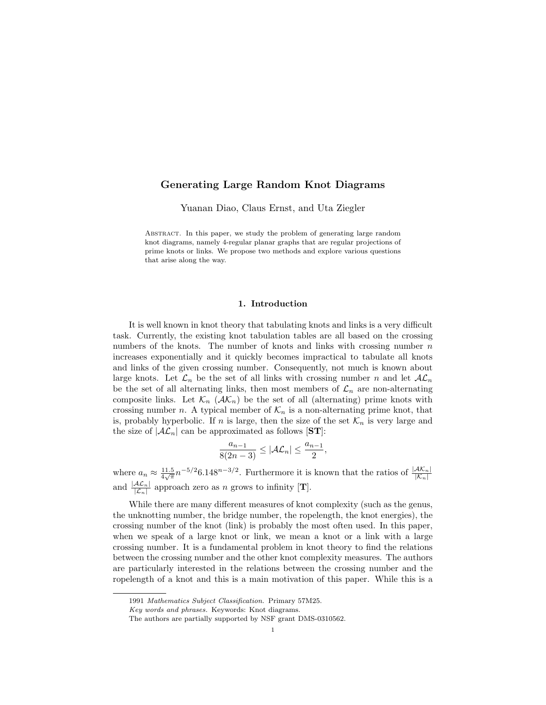## Generating Large Random Knot Diagrams

Yuanan Diao, Claus Ernst, and Uta Ziegler

Abstract. In this paper, we study the problem of generating large random knot diagrams, namely 4-regular planar graphs that are regular projections of prime knots or links. We propose two methods and explore various questions that arise along the way.

### 1. Introduction

It is well known in knot theory that tabulating knots and links is a very difficult task. Currently, the existing knot tabulation tables are all based on the crossing numbers of the knots. The number of knots and links with crossing number  $n$ increases exponentially and it quickly becomes impractical to tabulate all knots and links of the given crossing number. Consequently, not much is known about large knots. Let  $\mathcal{L}_n$  be the set of all links with crossing number n and let  $A\mathcal{L}_n$ be the set of all alternating links, then most members of  $\mathcal{L}_n$  are non-alternating composite links. Let  $\mathcal{K}_n$  ( $\mathcal{AK}_n$ ) be the set of all (alternating) prime knots with crossing number n. A typical member of  $\mathcal{K}_n$  is a non-alternating prime knot, that is, probably hyperbolic. If n is large, then the size of the set  $\mathcal{K}_n$  is very large and the size of  $|\mathcal{AL}_n|$  can be approximated as follows [ST]:

$$
\frac{a_{n-1}}{8(2n-3)} \le |\mathcal{AL}_n| \le \frac{a_{n-1}}{2},
$$

where  $a_n \approx \frac{11.5}{4\sqrt{\pi}} n^{-5/2} 6.148^{n-3/2}$ . Furthermore it is known that the ratios of  $\frac{|{\cal AK}_n|}{|{\cal K}_n|}$ and  $\frac{|AC_n|}{|C_n|}$  approach zero as n grows to infinity [**T**].

While there are many different measures of knot complexity (such as the genus, the unknotting number, the bridge number, the ropelength, the knot energies), the crossing number of the knot (link) is probably the most often used. In this paper, when we speak of a large knot or link, we mean a knot or a link with a large crossing number. It is a fundamental problem in knot theory to find the relations between the crossing number and the other knot complexity measures. The authors are particularly interested in the relations between the crossing number and the ropelength of a knot and this is a main motivation of this paper. While this is a

<sup>1991</sup> Mathematics Subject Classification. Primary 57M25.

Key words and phrases. Keywords: Knot diagrams.

The authors are partially supported by NSF grant DMS-0310562.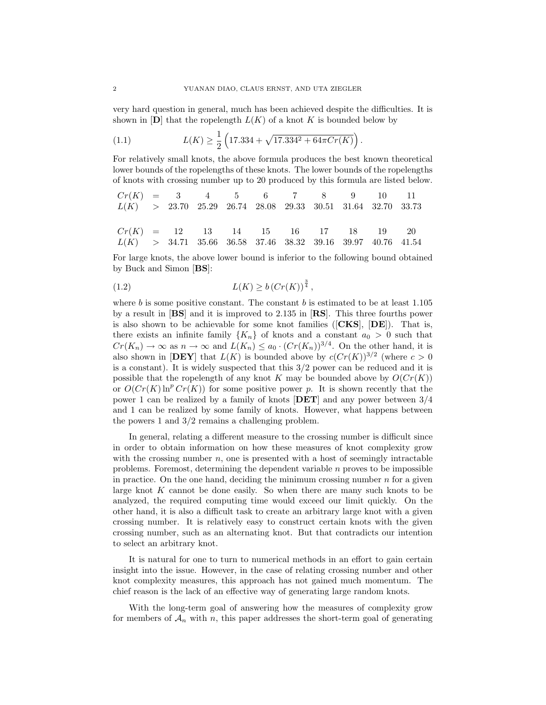very hard question in general, much has been achieved despite the difficulties. It is shown in  $[D]$  that the ropelength  $L(K)$  of a knot K is bounded below by

(1.1) 
$$
L(K) \ge \frac{1}{2} \left( 17.334 + \sqrt{17.334^2 + 64\pi C r(K)} \right).
$$

For relatively small knots, the above formula produces the best known theoretical lower bounds of the ropelengths of these knots. The lower bounds of the ropelengths of knots with crossing number up to 20 produced by this formula are listed below.

$$
Cr(K) = 3 \t4 \t5 \t6 \t7 \t8 \t9 \t10 \t11
$$
  
\n
$$
L(K) > 23.70 \t25.29 \t26.74 \t28.08 \t29.33 \t30.51 \t31.64 \t32.70 \t33.73
$$
  
\n
$$
Cr(K) = 12 \t13 \t14 \t15 \t16 \t17 \t18 \t19 \t20
$$
  
\n
$$
L(K) > 34.71 \t35.66 \t36.58 \t37.46 \t38.32 \t39.16 \t39.97 \t40.76 \t41.54
$$

For large knots, the above lower bound is inferior to the following bound obtained by Buck and Simon [BS]:

(1.2) 
$$
L(K) \ge b (Cr(K))^{\frac{3}{4}},
$$

where b is some positive constant. The constant b is estimated to be at least  $1.105$ by a result in [BS] and it is improved to 2.135 in [RS]. This three fourths power is also shown to be achievable for some knot families ([CKS], [DE]). That is, there exists an infinite family  ${K_n}$  of knots and a constant  $a_0 > 0$  such that  $Cr(K_n) \to \infty$  as  $n \to \infty$  and  $L(K_n) \le a_0 \cdot (Cr(K_n))^{3/4}$ . On the other hand, it is also shown in [**DEY**] that  $L(K)$  is bounded above by  $c(Cr(K))^{3/2}$  (where  $c > 0$ is a constant). It is widely suspected that this  $3/2$  power can be reduced and it is possible that the ropelength of any knot K may be bounded above by  $O(Cr(K))$ or  $O(Cr(K) \ln^p Cr(K))$  for some positive power p. It is shown recently that the power 1 can be realized by a family of knots  $|\text{DET}|$  and any power between  $3/4$ and 1 can be realized by some family of knots. However, what happens between the powers 1 and 3/2 remains a challenging problem.

In general, relating a different measure to the crossing number is difficult since in order to obtain information on how these measures of knot complexity grow with the crossing number  $n$ , one is presented with a host of seemingly intractable problems. Foremost, determining the dependent variable  $n$  proves to be impossible in practice. On the one hand, deciding the minimum crossing number  $n$  for a given large knot K cannot be done easily. So when there are many such knots to be analyzed, the required computing time would exceed our limit quickly. On the other hand, it is also a difficult task to create an arbitrary large knot with a given crossing number. It is relatively easy to construct certain knots with the given crossing number, such as an alternating knot. But that contradicts our intention to select an arbitrary knot.

It is natural for one to turn to numerical methods in an effort to gain certain insight into the issue. However, in the case of relating crossing number and other knot complexity measures, this approach has not gained much momentum. The chief reason is the lack of an effective way of generating large random knots.

With the long-term goal of answering how the measures of complexity grow for members of  $A_n$  with n, this paper addresses the short-term goal of generating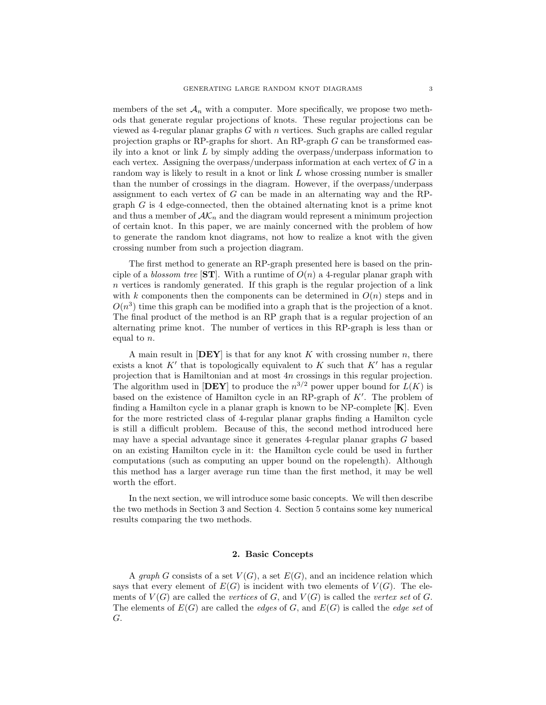members of the set  $\mathcal{A}_n$  with a computer. More specifically, we propose two methods that generate regular projections of knots. These regular projections can be viewed as 4-regular planar graphs  $G$  with  $n$  vertices. Such graphs are called regular projection graphs or RP-graphs for short. An RP-graph G can be transformed easily into a knot or link  $L$  by simply adding the overpass/underpass information to each vertex. Assigning the overpass/underpass information at each vertex of G in a random way is likely to result in a knot or link L whose crossing number is smaller than the number of crossings in the diagram. However, if the overpass/underpass assignment to each vertex of G can be made in an alternating way and the RPgraph G is 4 edge-connected, then the obtained alternating knot is a prime knot and thus a member of  $\mathcal{AK}_n$  and the diagram would represent a minimum projection of certain knot. In this paper, we are mainly concerned with the problem of how to generate the random knot diagrams, not how to realize a knot with the given crossing number from such a projection diagram.

The first method to generate an RP-graph presented here is based on the principle of a blossom tree [ST]. With a runtime of  $O(n)$  a 4-regular planar graph with  $n$  vertices is randomly generated. If this graph is the regular projection of a link with k components then the components can be determined in  $O(n)$  steps and in  $O(n^3)$  time this graph can be modified into a graph that is the projection of a knot. The final product of the method is an RP graph that is a regular projection of an alternating prime knot. The number of vertices in this RP-graph is less than or equal to n.

A main result in  $[\mathbf{DEF}]$  is that for any knot K with crossing number n, there exists a knot  $K'$  that is topologically equivalent to K such that  $K'$  has a regular projection that is Hamiltonian and at most 4n crossings in this regular projection. The algorithm used in  $[\mathbf{DEF}]$  to produce the  $n^{3/2}$  power upper bound for  $L(K)$  is based on the existence of Hamilton cycle in an RP-graph of  $K'$ . The problem of finding a Hamilton cycle in a planar graph is known to be NP-complete  $[K]$ . Even for the more restricted class of 4-regular planar graphs finding a Hamilton cycle is still a difficult problem. Because of this, the second method introduced here may have a special advantage since it generates 4-regular planar graphs G based on an existing Hamilton cycle in it: the Hamilton cycle could be used in further computations (such as computing an upper bound on the ropelength). Although this method has a larger average run time than the first method, it may be well worth the effort.

In the next section, we will introduce some basic concepts. We will then describe the two methods in Section 3 and Section 4. Section 5 contains some key numerical results comparing the two methods.

### 2. Basic Concepts

A graph G consists of a set  $V(G)$ , a set  $E(G)$ , and an incidence relation which says that every element of  $E(G)$  is incident with two elements of  $V(G)$ . The elements of  $V(G)$  are called the vertices of G, and  $V(G)$  is called the vertex set of G. The elements of  $E(G)$  are called the *edges* of G, and  $E(G)$  is called the *edge set* of G.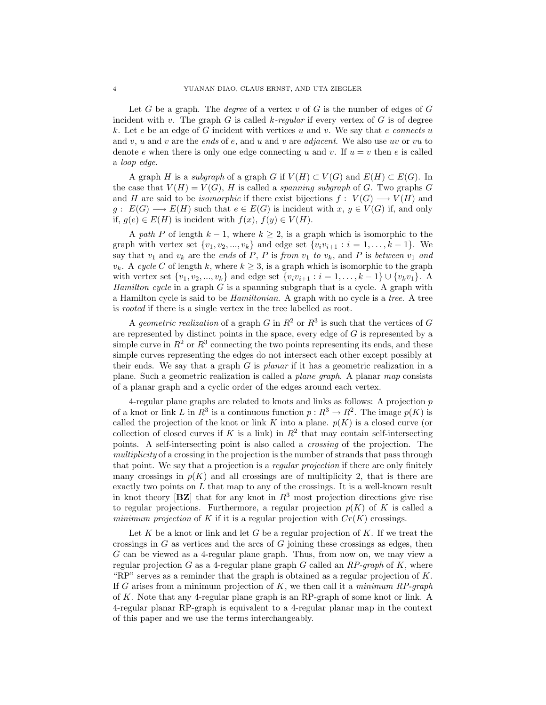Let G be a graph. The *degree* of a vertex v of G is the number of edges of G incident with v. The graph G is called k-regular if every vertex of G is of degree k. Let e be an edge of G incident with vertices u and v. We say that e connects u and v, u and v are the ends of e, and u and v are *adjacent*. We also use uv or vu to denote e when there is only one edge connecting u and v. If  $u = v$  then e is called a loop edge.

A graph H is a subgraph of a graph G if  $V(H) \subset V(G)$  and  $E(H) \subset E(G)$ . In the case that  $V(H) = V(G)$ , H is called a *spanning subgraph* of G. Two graphs G and H are said to be *isomorphic* if there exist bijections  $f: V(G) \longrightarrow V(H)$  and  $g: E(G) \longrightarrow E(H)$  such that  $e \in E(G)$  is incident with  $x, y \in V(G)$  if, and only if,  $g(e) \in E(H)$  is incident with  $f(x)$ ,  $f(y) \in V(H)$ .

A path P of length  $k - 1$ , where  $k \geq 2$ , is a graph which is isomorphic to the graph with vertex set  $\{v_1, v_2, ..., v_k\}$  and edge set  $\{v_i v_{i+1} : i = 1, ..., k-1\}$ . We say that  $v_1$  and  $v_k$  are the ends of P, P is from  $v_1$  to  $v_k$ , and P is between  $v_1$  and  $v_k$ . A cycle C of length k, where  $k \geq 3$ , is a graph which is isomorphic to the graph with vertex set  $\{v_1, v_2, ..., v_k\}$  and edge set  $\{v_i v_{i+1} : i = 1, ..., k-1\} \cup \{v_k v_1\}$ . *Hamilton cycle* in a graph  $G$  is a spanning subgraph that is a cycle. A graph with a Hamilton cycle is said to be Hamiltonian. A graph with no cycle is a tree. A tree is rooted if there is a single vertex in the tree labelled as root.

A geometric realization of a graph G in  $R^2$  or  $R^3$  is such that the vertices of G are represented by distinct points in the space, every edge of G is represented by a simple curve in  $R^2$  or  $R^3$  connecting the two points representing its ends, and these simple curves representing the edges do not intersect each other except possibly at their ends. We say that a graph  $G$  is planar if it has a geometric realization in a plane. Such a geometric realization is called a plane graph. A planar map consists of a planar graph and a cyclic order of the edges around each vertex.

4-regular plane graphs are related to knots and links as follows: A projection  $p$ of a knot or link L in  $R^3$  is a continuous function  $p: R^3 \to R^2$ . The image  $p(K)$  is called the projection of the knot or link K into a plane.  $p(K)$  is a closed curve (or collection of closed curves if K is a link) in  $R^2$  that may contain self-intersecting points. A self-intersecting point is also called a crossing of the projection. The multiplicity of a crossing in the projection is the number of strands that pass through that point. We say that a projection is a *regular projection* if there are only finitely many crossings in  $p(K)$  and all crossings are of multiplicity 2, that is there are exactly two points on L that map to any of the crossings. It is a well-known result in knot theory  $[\mathbf{BZ}]$  that for any knot in  $R^3$  most projection directions give rise to regular projections. Furthermore, a regular projection  $p(K)$  of K is called a minimum projection of K if it is a regular projection with  $Cr(K)$  crossings.

Let K be a knot or link and let G be a regular projection of K. If we treat the crossings in  $G$  as vertices and the arcs of  $G$  joining these crossings as edges, then G can be viewed as a 4-regular plane graph. Thus, from now on, we may view a regular projection G as a 4-regular plane graph G called an  $RP\text{-}graph$  of K, where "RP" serves as a reminder that the graph is obtained as a regular projection of  $K$ . If G arises from a minimum projection of  $K$ , we then call it a *minimum RP-graph* of K. Note that any 4-regular plane graph is an RP-graph of some knot or link. A 4-regular planar RP-graph is equivalent to a 4-regular planar map in the context of this paper and we use the terms interchangeably.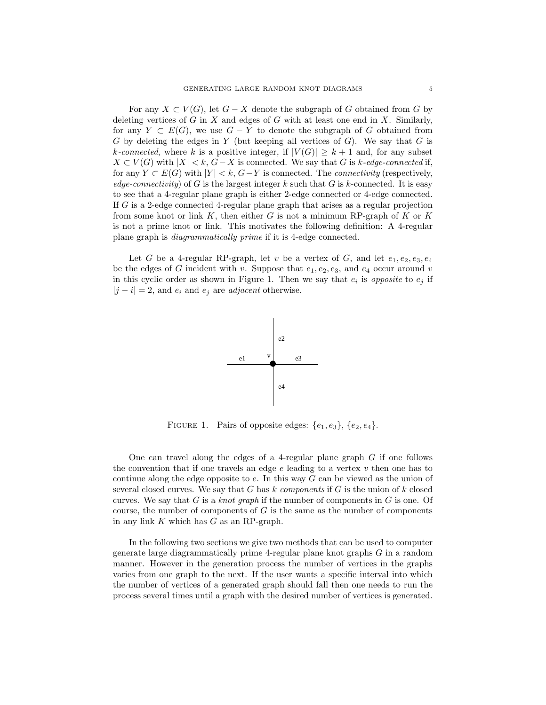For any  $X \subset V(G)$ , let  $G - X$  denote the subgraph of G obtained from G by deleting vertices of G in X and edges of G with at least one end in X. Similarly, for any  $Y \subset E(G)$ , we use  $G - Y$  to denote the subgraph of G obtained from  $G$  by deleting the edges in  $Y$  (but keeping all vertices of  $G$ ). We say that  $G$  is k-connected, where k is a positive integer, if  $|V(G)| \geq k+1$  and, for any subset  $X \subset V(G)$  with  $|X| < k$ ,  $G - X$  is connected. We say that G is k-edge-connected if, for any  $Y \subset E(G)$  with  $|Y| < k$ ,  $G-Y$  is connected. The *connectivity* (respectively, edge-connectivity) of G is the largest integer k such that G is k-connected. It is easy to see that a 4-regular plane graph is either 2-edge connected or 4-edge connected. If G is a 2-edge connected 4-regular plane graph that arises as a regular projection from some knot or link  $K$ , then either G is not a minimum RP-graph of  $K$  or  $K$ is not a prime knot or link. This motivates the following definition: A 4-regular plane graph is diagrammatically prime if it is 4-edge connected.

Let G be a 4-regular RP-graph, let v be a vertex of G, and let  $e_1, e_2, e_3, e_4$ be the edges of G incident with v. Suppose that  $e_1, e_2, e_3$ , and  $e_4$  occur around v in this cyclic order as shown in Figure 1. Then we say that  $e_i$  is *opposite* to  $e_j$  if  $|j - i| = 2$ , and  $e_i$  and  $e_j$  are *adjacent* otherwise.



FIGURE 1. Pairs of opposite edges:  $\{e_1, e_3\}, \{e_2, e_4\}.$ 

One can travel along the edges of a 4-regular plane graph G if one follows the convention that if one travels an edge  $e$  leading to a vertex  $v$  then one has to continue along the edge opposite to  $e$ . In this way  $G$  can be viewed as the union of several closed curves. We say that  $G$  has  $k$  components if  $G$  is the union of  $k$  closed curves. We say that G is a knot graph if the number of components in G is one. Of course, the number of components of  $G$  is the same as the number of components in any link  $K$  which has  $G$  as an RP-graph.

In the following two sections we give two methods that can be used to computer generate large diagrammatically prime 4-regular plane knot graphs G in a random manner. However in the generation process the number of vertices in the graphs varies from one graph to the next. If the user wants a specific interval into which the number of vertices of a generated graph should fall then one needs to run the process several times until a graph with the desired number of vertices is generated.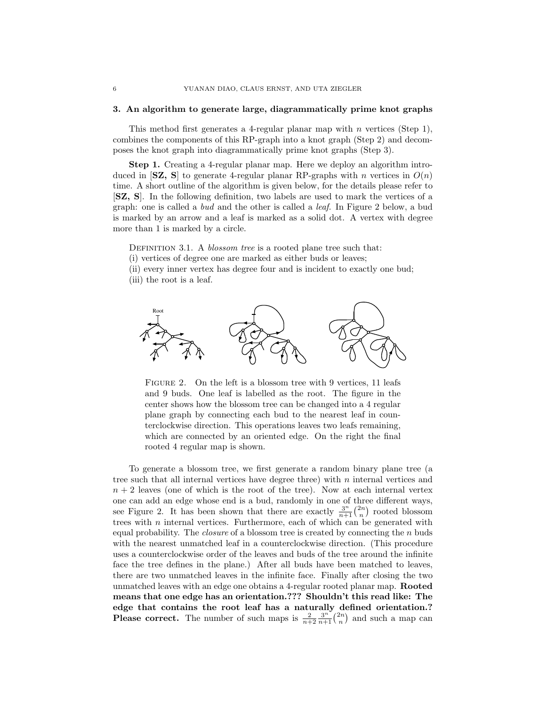#### 3. An algorithm to generate large, diagrammatically prime knot graphs

This method first generates a 4-regular planar map with  $n$  vertices (Step 1), combines the components of this RP-graph into a knot graph (Step 2) and decomposes the knot graph into diagrammatically prime knot graphs (Step 3).

Step 1. Creating a 4-regular planar map. Here we deploy an algorithm introduced in  $[\mathbf{SZ}, \mathbf{S}]$  to generate 4-regular planar RP-graphs with n vertices in  $O(n)$ time. A short outline of the algorithm is given below, for the details please refer to [SZ, S]. In the following definition, two labels are used to mark the vertices of a graph: one is called a bud and the other is called a leaf. In Figure 2 below, a bud is marked by an arrow and a leaf is marked as a solid dot. A vertex with degree more than 1 is marked by a circle.

DEFINITION 3.1. A *blossom tree* is a rooted plane tree such that:

(i) vertices of degree one are marked as either buds or leaves;

(ii) every inner vertex has degree four and is incident to exactly one bud;

(iii) the root is a leaf.



FIGURE 2. On the left is a blossom tree with 9 vertices, 11 leafs and 9 buds. One leaf is labelled as the root. The figure in the center shows how the blossom tree can be changed into a 4 regular plane graph by connecting each bud to the nearest leaf in counterclockwise direction. This operations leaves two leafs remaining, which are connected by an oriented edge. On the right the final rooted 4 regular map is shown.

To generate a blossom tree, we first generate a random binary plane tree (a tree such that all internal vertices have degree three) with  $n$  internal vertices and  $n + 2$  leaves (one of which is the root of the tree). Now at each internal vertex one can add an edge whose end is a bud, randomly in one of three different ways, one can add an edge whose end is a bud, randomly in one of three different ways,<br>see Figure 2. It has been shown that there are exactly  $\frac{3^n}{n+1} {2n \choose n}$  rooted blossom trees with  $n$  internal vertices. Furthermore, each of which can be generated with equal probability. The *closure* of a blossom tree is created by connecting the  $n$  buds with the nearest unmatched leaf in a counterclockwise direction. (This procedure uses a counterclockwise order of the leaves and buds of the tree around the infinite face the tree defines in the plane.) After all buds have been matched to leaves, there are two unmatched leaves in the infinite face. Finally after closing the two unmatched leaves with an edge one obtains a 4-regular rooted planar map. Rooted means that one edge has an orientation.??? Shouldn't this read like: The edge that contains the root leaf has a naturally defined orientation.? edge that contains the root lear has a haturally defined orientation.<br>Please correct. The number of such maps is  $\frac{2}{n+2} \frac{3^n}{n+1} {2n \choose n}$  and such a map can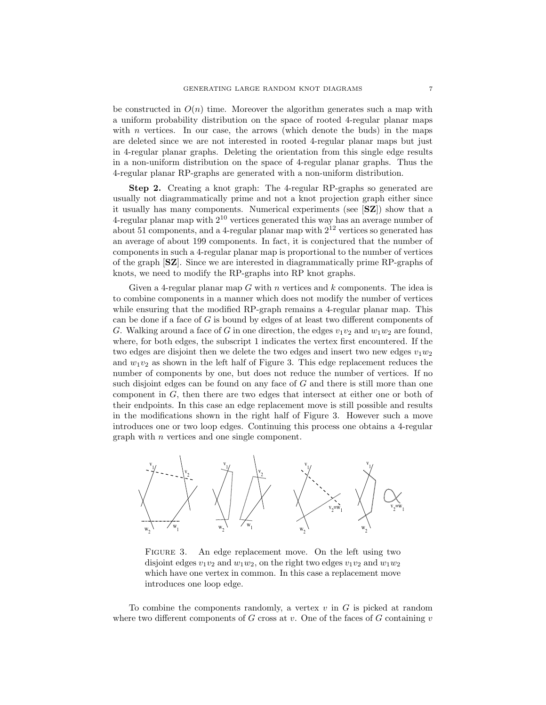be constructed in  $O(n)$  time. Moreover the algorithm generates such a map with a uniform probability distribution on the space of rooted 4-regular planar maps with  $n$  vertices. In our case, the arrows (which denote the buds) in the maps are deleted since we are not interested in rooted 4-regular planar maps but just in 4-regular planar graphs. Deleting the orientation from this single edge results in a non-uniform distribution on the space of 4-regular planar graphs. Thus the 4-regular planar RP-graphs are generated with a non-uniform distribution.

Step 2. Creating a knot graph: The 4-regular RP-graphs so generated are usually not diagrammatically prime and not a knot projection graph either since it usually has many components. Numerical experiments (see [SZ]) show that a 4-regular planar map with  $2^{10}$  vertices generated this way has an average number of about 51 components, and a 4-regular planar map with  $2^{12}$  vertices so generated has an average of about 199 components. In fact, it is conjectured that the number of components in such a 4-regular planar map is proportional to the number of vertices of the graph [SZ]. Since we are interested in diagrammatically prime RP-graphs of knots, we need to modify the RP-graphs into RP knot graphs.

Given a 4-regular planar map  $G$  with  $n$  vertices and  $k$  components. The idea is to combine components in a manner which does not modify the number of vertices while ensuring that the modified RP-graph remains a 4-regular planar map. This can be done if a face of G is bound by edges of at least two different components of G. Walking around a face of G in one direction, the edges  $v_1v_2$  and  $w_1w_2$  are found, where, for both edges, the subscript 1 indicates the vertex first encountered. If the two edges are disjoint then we delete the two edges and insert two new edges  $v_1w_2$ and  $w_1v_2$  as shown in the left half of Figure 3. This edge replacement reduces the number of components by one, but does not reduce the number of vertices. If no such disjoint edges can be found on any face of G and there is still more than one component in G, then there are two edges that intersect at either one or both of their endpoints. In this case an edge replacement move is still possible and results in the modifications shown in the right half of Figure 3. However such a move introduces one or two loop edges. Continuing this process one obtains a 4-regular graph with n vertices and one single component.



FIGURE 3. An edge replacement move. On the left using two disjoint edges  $v_1v_2$  and  $w_1w_2$ , on the right two edges  $v_1v_2$  and  $w_1w_2$ which have one vertex in common. In this case a replacement move introduces one loop edge.

To combine the components randomly, a vertex  $v$  in  $G$  is picked at random where two different components of G cross at v. One of the faces of G containing v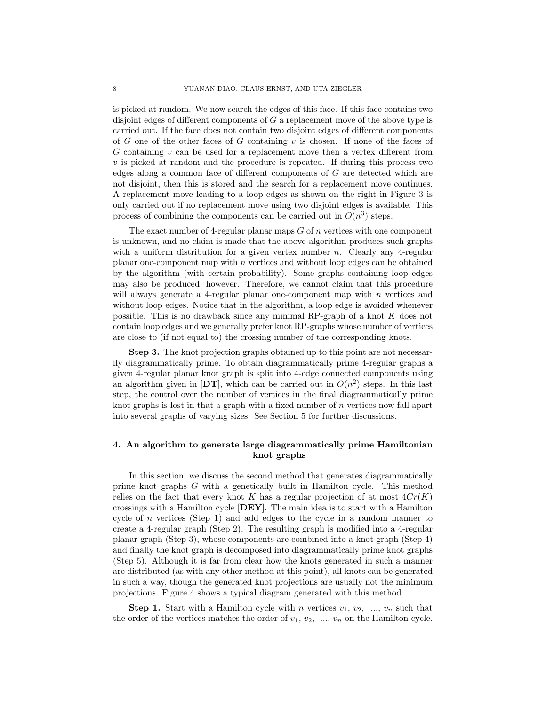is picked at random. We now search the edges of this face. If this face contains two disjoint edges of different components of G a replacement move of the above type is carried out. If the face does not contain two disjoint edges of different components of G one of the other faces of G containing  $v$  is chosen. If none of the faces of G containing v can be used for a replacement move then a vertex different from  $v$  is picked at random and the procedure is repeated. If during this process two edges along a common face of different components of G are detected which are not disjoint, then this is stored and the search for a replacement move continues. A replacement move leading to a loop edges as shown on the right in Figure 3 is only carried out if no replacement move using two disjoint edges is available. This process of combining the components can be carried out in  $O(n^3)$  steps.

The exact number of 4-regular planar maps  $G$  of  $n$  vertices with one component is unknown, and no claim is made that the above algorithm produces such graphs with a uniform distribution for a given vertex number  $n$ . Clearly any 4-regular planar one-component map with  $n$  vertices and without loop edges can be obtained by the algorithm (with certain probability). Some graphs containing loop edges may also be produced, however. Therefore, we cannot claim that this procedure will always generate a 4-regular planar one-component map with  $n$  vertices and without loop edges. Notice that in the algorithm, a loop edge is avoided whenever possible. This is no drawback since any minimal RP-graph of a knot K does not contain loop edges and we generally prefer knot RP-graphs whose number of vertices are close to (if not equal to) the crossing number of the corresponding knots.

Step 3. The knot projection graphs obtained up to this point are not necessarily diagrammatically prime. To obtain diagrammatically prime 4-regular graphs a given 4-regular planar knot graph is split into 4-edge connected components using an algorithm given in  $[DT]$ , which can be carried out in  $O(n^2)$  steps. In this last step, the control over the number of vertices in the final diagrammatically prime knot graphs is lost in that a graph with a fixed number of  $n$  vertices now fall apart into several graphs of varying sizes. See Section 5 for further discussions.

# 4. An algorithm to generate large diagrammatically prime Hamiltonian knot graphs

In this section, we discuss the second method that generates diagrammatically prime knot graphs G with a genetically built in Hamilton cycle. This method relies on the fact that every knot K has a regular projection of at most  $4Cr(K)$ crossings with a Hamilton cycle [DEY]. The main idea is to start with a Hamilton cycle of n vertices (Step 1) and add edges to the cycle in a random manner to create a 4-regular graph (Step 2). The resulting graph is modified into a 4-regular planar graph (Step 3), whose components are combined into a knot graph (Step 4) and finally the knot graph is decomposed into diagrammatically prime knot graphs (Step 5). Although it is far from clear how the knots generated in such a manner are distributed (as with any other method at this point), all knots can be generated in such a way, though the generated knot projections are usually not the minimum projections. Figure 4 shows a typical diagram generated with this method.

**Step 1.** Start with a Hamilton cycle with n vertices  $v_1, v_2, ..., v_n$  such that the order of the vertices matches the order of  $v_1, v_2, ..., v_n$  on the Hamilton cycle.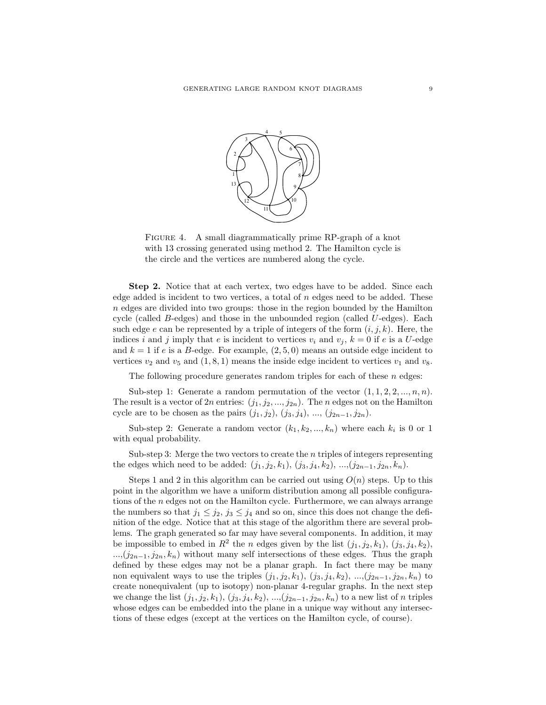

FIGURE 4. A small diagrammatically prime RP-graph of a knot with 13 crossing generated using method 2. The Hamilton cycle is the circle and the vertices are numbered along the cycle.

Step 2. Notice that at each vertex, two edges have to be added. Since each edge added is incident to two vertices, a total of  $n$  edges need to be added. These  $n$  edges are divided into two groups: those in the region bounded by the Hamilton cycle (called  $B$ -edges) and those in the unbounded region (called  $U$ -edges). Each such edge e can be represented by a triple of integers of the form  $(i, j, k)$ . Here, the indices i and j imply that e is incident to vertices  $v_i$  and  $v_j$ ,  $k = 0$  if e is a U-edge and  $k = 1$  if e is a B-edge. For example,  $(2, 5, 0)$  means an outside edge incident to vertices  $v_2$  and  $v_5$  and  $(1, 8, 1)$  means the inside edge incident to vertices  $v_1$  and  $v_8$ .

The following procedure generates random triples for each of these  $n$  edges:

Sub-step 1: Generate a random permutation of the vector  $(1, 1, 2, 2, ..., n, n)$ . The result is a vector of 2n entries:  $(j_1, j_2, ..., j_{2n})$ . The n edges not on the Hamilton cycle are to be chosen as the pairs  $(j_1, j_2)$ ,  $(j_3, j_4)$ , ...,  $(j_{2n-1}, j_{2n})$ .

Sub-step 2: Generate a random vector  $(k_1, k_2, ..., k_n)$  where each  $k_i$  is 0 or 1 with equal probability.

Sub-step 3: Merge the two vectors to create the  $n$  triples of integers representing the edges which need to be added:  $(j_1, j_2, k_1)$ ,  $(j_3, j_4, k_2)$ , ..., $(j_{2n-1}, j_{2n}, k_n)$ .

Steps 1 and 2 in this algorithm can be carried out using  $O(n)$  steps. Up to this point in the algorithm we have a uniform distribution among all possible configurations of the n edges not on the Hamilton cycle. Furthermore, we can always arrange the numbers so that  $j_1 \leq j_2$ ,  $j_3 \leq j_4$  and so on, since this does not change the definition of the edge. Notice that at this stage of the algorithm there are several problems. The graph generated so far may have several components. In addition, it may be impossible to embed in  $R^2$  the n edges given by the list  $(j_1, j_2, k_1)$ ,  $(j_3, j_4, k_2)$ ,  $...,(j_{2n-1}, j_{2n}, k_n)$  without many self intersections of these edges. Thus the graph defined by these edges may not be a planar graph. In fact there may be many non equivalent ways to use the triples  $(j_1, j_2, k_1), (j_3, j_4, k_2), ..., (j_{2n-1}, j_{2n}, k_n)$  to create nonequivalent (up to isotopy) non-planar 4-regular graphs. In the next step we change the list  $(j_1, j_2, k_1), (j_3, j_4, k_2), ..., (j_{2n-1}, j_{2n}, k_n)$  to a new list of n triples whose edges can be embedded into the plane in a unique way without any intersections of these edges (except at the vertices on the Hamilton cycle, of course).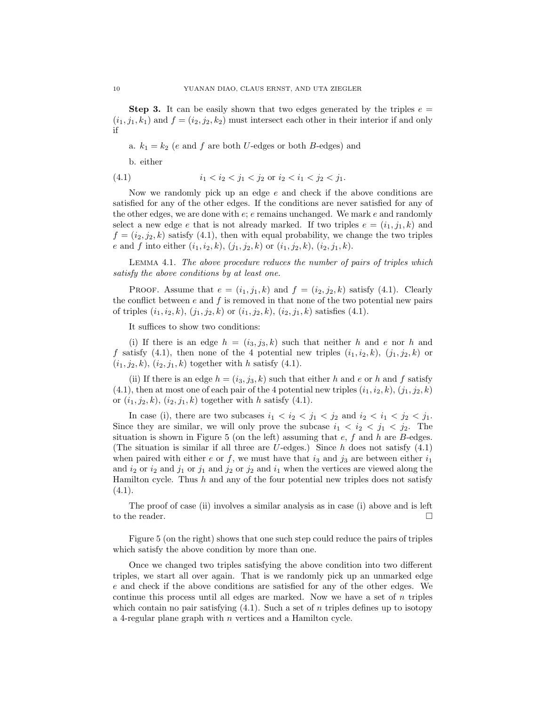**Step 3.** It can be easily shown that two edges generated by the triples  $e =$  $(i_1, j_1, k_1)$  and  $f = (i_2, j_2, k_2)$  must intersect each other in their interior if and only if

a.  $k_1 = k_2$  (e and f are both U-edges or both B-edges) and

b. either

(4.1) 
$$
i_1 < i_2 < j_1 < j_2 \text{ or } i_2 < i_1 < j_2 < j_1.
$$

Now we randomly pick up an edge  $e$  and check if the above conditions are satisfied for any of the other edges. If the conditions are never satisfied for any of the other edges, we are done with  $e$ ;  $e$  remains unchanged. We mark  $e$  and randomly select a new edge e that is not already marked. If two triples  $e = (i_1, j_1, k)$  and  $f = (i_2, j_2, k)$  satisfy (4.1), then with equal probability, we change the two triples e and f into either  $(i_1, i_2, k), (j_1, j_2, k)$  or  $(i_1, j_2, k), (i_2, j_1, k)$ .

Lemma 4.1. The above procedure reduces the number of pairs of triples which satisfy the above conditions by at least one.

PROOF. Assume that  $e = (i_1, j_1, k)$  and  $f = (i_2, j_2, k)$  satisfy (4.1). Clearly the conflict between  $e$  and  $f$  is removed in that none of the two potential new pairs of triples  $(i_1, i_2, k), (j_1, j_2, k)$  or  $(i_1, j_2, k), (i_2, j_1, k)$  satisfies (4.1).

It suffices to show two conditions:

(i) If there is an edge  $h = (i_3, j_3, k)$  such that neither h and e nor h and f satisfy (4.1), then none of the 4 potential new triples  $(i_1, i_2, k)$ ,  $(j_1, j_2, k)$  or  $(i_1, j_2, k), (i_2, j_1, k)$  together with h satisfy (4.1).

(ii) If there is an edge  $h = (i_3, j_3, k)$  such that either h and e or h and f satisfy  $(4.1)$ , then at most one of each pair of the 4 potential new triples  $(i_1, i_2, k), (j_1, j_2, k)$ or  $(i_1, j_2, k)$ ,  $(i_2, j_1, k)$  together with h satisfy (4.1).

In case (i), there are two subcases  $i_1 < i_2 < j_1 < j_2$  and  $i_2 < i_1 < j_2 < j_1$ . Since they are similar, we will only prove the subcase  $i_1 < i_2 < j_1 < j_2$ . The situation is shown in Figure 5 (on the left) assuming that  $e, f$  and  $h$  are  $B$ -edges. (The situation is similar if all three are U-edges.) Since h does not satisfy  $(4.1)$ when paired with either e or f, we must have that  $i_3$  and  $j_3$  are between either  $i_1$ and  $i_2$  or  $i_2$  and  $j_1$  or  $j_1$  and  $j_2$  or  $j_2$  and  $i_1$  when the vertices are viewed along the Hamilton cycle. Thus  $h$  and any of the four potential new triples does not satisfy  $(4.1).$ 

The proof of case (ii) involves a similar analysis as in case (i) above and is left to the reader.  $\Box$ 

Figure 5 (on the right) shows that one such step could reduce the pairs of triples which satisfy the above condition by more than one.

Once we changed two triples satisfying the above condition into two different triples, we start all over again. That is we randomly pick up an unmarked edge e and check if the above conditions are satisfied for any of the other edges. We continue this process until all edges are marked. Now we have a set of  $n$  triples which contain no pair satisfying  $(4.1)$ . Such a set of n triples defines up to isotopy a 4-regular plane graph with n vertices and a Hamilton cycle.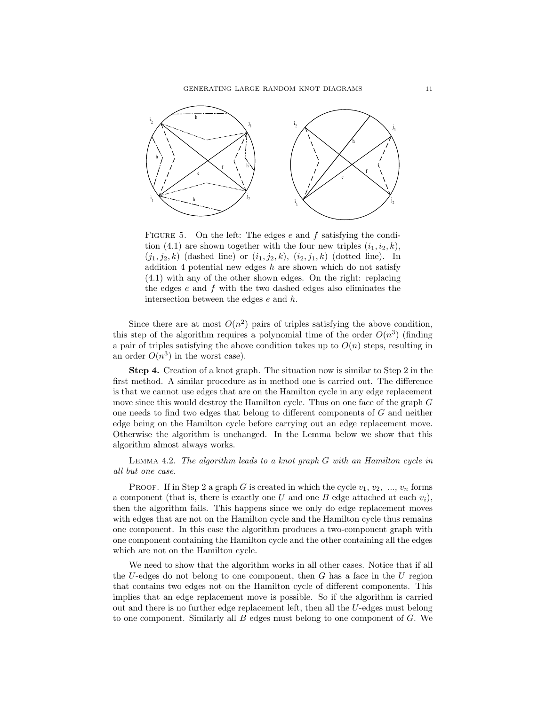

FIGURE 5. On the left: The edges  $e$  and  $f$  satisfying the condition (4.1) are shown together with the four new triples  $(i_1, i_2, k)$ ,  $(j_1, j_2, k)$  (dashed line) or  $(i_1, j_2, k)$ ,  $(i_2, j_1, k)$  (dotted line). In addition 4 potential new edges  $h$  are shown which do not satisfy (4.1) with any of the other shown edges. On the right: replacing the edges  $e$  and  $f$  with the two dashed edges also eliminates the intersection between the edges  $e$  and  $h$ .

Since there are at most  $O(n^2)$  pairs of triples satisfying the above condition, this step of the algorithm requires a polynomial time of the order  $O(n^3)$  (finding a pair of triples satisfying the above condition takes up to  $O(n)$  steps, resulting in an order  $O(n^3)$  in the worst case).

Step 4. Creation of a knot graph. The situation now is similar to Step 2 in the first method. A similar procedure as in method one is carried out. The difference is that we cannot use edges that are on the Hamilton cycle in any edge replacement move since this would destroy the Hamilton cycle. Thus on one face of the graph G one needs to find two edges that belong to different components of G and neither edge being on the Hamilton cycle before carrying out an edge replacement move. Otherwise the algorithm is unchanged. In the Lemma below we show that this algorithm almost always works.

Lemma 4.2. The algorithm leads to a knot graph G with an Hamilton cycle in all but one case.

PROOF. If in Step 2 a graph G is created in which the cycle  $v_1, v_2, ..., v_n$  forms a component (that is, there is exactly one U and one B edge attached at each  $v_i$ ), then the algorithm fails. This happens since we only do edge replacement moves with edges that are not on the Hamilton cycle and the Hamilton cycle thus remains one component. In this case the algorithm produces a two-component graph with one component containing the Hamilton cycle and the other containing all the edges which are not on the Hamilton cycle.

We need to show that the algorithm works in all other cases. Notice that if all the U-edges do not belong to one component, then  $G$  has a face in the U region that contains two edges not on the Hamilton cycle of different components. This implies that an edge replacement move is possible. So if the algorithm is carried out and there is no further edge replacement left, then all the U-edges must belong to one component. Similarly all  $B$  edges must belong to one component of  $G$ . We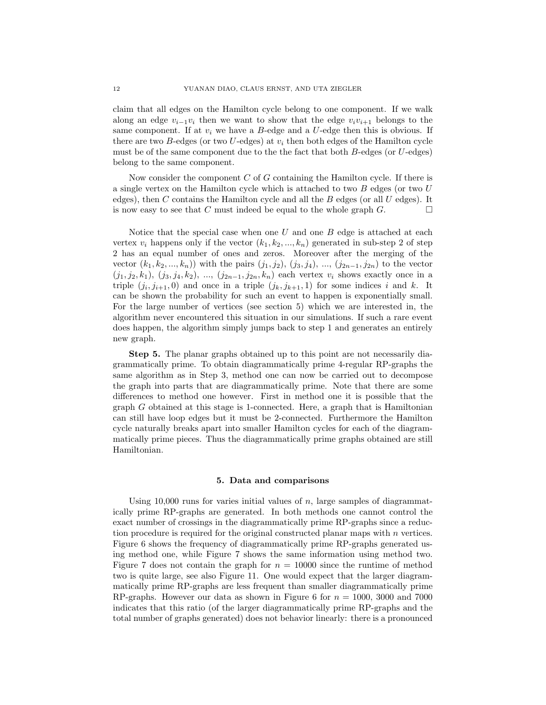claim that all edges on the Hamilton cycle belong to one component. If we walk along an edge  $v_{i-1}v_i$  then we want to show that the edge  $v_iv_{i+1}$  belongs to the same component. If at  $v_i$  we have a B-edge and a U-edge then this is obvious. If there are two B-edges (or two U-edges) at  $v_i$  then both edges of the Hamilton cycle must be of the same component due to the the fact that both  $B$ -edges (or  $U$ -edges) belong to the same component.

Now consider the component  $C$  of  $G$  containing the Hamilton cycle. If there is a single vertex on the Hamilton cycle which is attached to two B edges (or two U edges), then  $C$  contains the Hamilton cycle and all the  $B$  edges (or all  $U$  edges). It is now easy to see that C must indeed be equal to the whole graph  $G$ .  $\Box$ 

Notice that the special case when one U and one B edge is attached at each vertex  $v_i$  happens only if the vector  $(k_1, k_2, ..., k_n)$  generated in sub-step 2 of step 2 has an equal number of ones and zeros. Moreover after the merging of the vector  $(k_1, k_2, ..., k_n)$  with the pairs  $(j_1, j_2), (j_3, j_4), ..., (j_{2n-1}, j_{2n})$  to the vector  $(j_1, j_2, k_1), (j_3, j_4, k_2), ..., (j_{2n-1}, j_{2n}, k_n)$  each vertex  $v_i$  shows exactly once in a triple  $(j_i, j_{i+1}, 0)$  and once in a triple  $(j_k, j_{k+1}, 1)$  for some indices i and k. It can be shown the probability for such an event to happen is exponentially small. For the large number of vertices (see section 5) which we are interested in, the algorithm never encountered this situation in our simulations. If such a rare event does happen, the algorithm simply jumps back to step 1 and generates an entirely new graph.

Step 5. The planar graphs obtained up to this point are not necessarily diagrammatically prime. To obtain diagrammatically prime 4-regular RP-graphs the same algorithm as in Step 3, method one can now be carried out to decompose the graph into parts that are diagrammatically prime. Note that there are some differences to method one however. First in method one it is possible that the graph  $G$  obtained at this stage is 1-connected. Here, a graph that is Hamiltonian can still have loop edges but it must be 2-connected. Furthermore the Hamilton cycle naturally breaks apart into smaller Hamilton cycles for each of the diagrammatically prime pieces. Thus the diagrammatically prime graphs obtained are still Hamiltonian.

### 5. Data and comparisons

Using 10,000 runs for varies initial values of  $n$ , large samples of diagrammatically prime RP-graphs are generated. In both methods one cannot control the exact number of crossings in the diagrammatically prime RP-graphs since a reduction procedure is required for the original constructed planar maps with  $n$  vertices. Figure 6 shows the frequency of diagrammatically prime RP-graphs generated using method one, while Figure 7 shows the same information using method two. Figure 7 does not contain the graph for  $n = 10000$  since the runtime of method two is quite large, see also Figure 11. One would expect that the larger diagrammatically prime RP-graphs are less frequent than smaller diagrammatically prime RP-graphs. However our data as shown in Figure 6 for  $n = 1000$ , 3000 and 7000 indicates that this ratio (of the larger diagrammatically prime RP-graphs and the total number of graphs generated) does not behavior linearly: there is a pronounced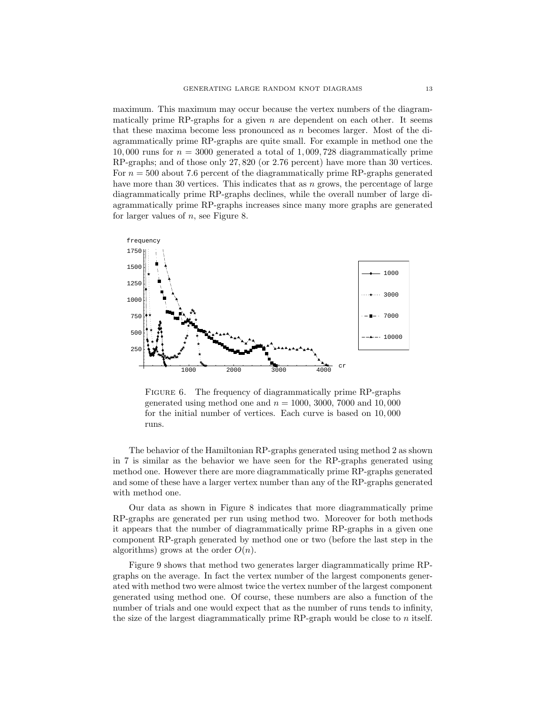maximum. This maximum may occur because the vertex numbers of the diagrammatically prime RP-graphs for a given  $n$  are dependent on each other. It seems that these maxima become less pronounced as n becomes larger. Most of the diagrammatically prime RP-graphs are quite small. For example in method one the 10,000 runs for  $n = 3000$  generated a total of 1,009,728 diagrammatically prime RP-graphs; and of those only 27, 820 (or 2.76 percent) have more than 30 vertices. For  $n = 500$  about 7.6 percent of the diagrammatically prime RP-graphs generated have more than 30 vertices. This indicates that as n grows, the percentage of large diagrammatically prime RP-graphs declines, while the overall number of large diagrammatically prime RP-graphs increases since many more graphs are generated for larger values of  $n$ , see Figure 8.



FIGURE 6. The frequency of diagrammatically prime RP-graphs generated using method one and  $n = 1000, 3000, 7000$  and 10,000 for the initial number of vertices. Each curve is based on 10, 000 runs.

The behavior of the Hamiltonian RP-graphs generated using method 2 as shown in 7 is similar as the behavior we have seen for the RP-graphs generated using method one. However there are more diagrammatically prime RP-graphs generated and some of these have a larger vertex number than any of the RP-graphs generated with method one.

Our data as shown in Figure 8 indicates that more diagrammatically prime RP-graphs are generated per run using method two. Moreover for both methods it appears that the number of diagrammatically prime RP-graphs in a given one component RP-graph generated by method one or two (before the last step in the algorithms) grows at the order  $O(n)$ .

Figure 9 shows that method two generates larger diagrammatically prime RPgraphs on the average. In fact the vertex number of the largest components generated with method two were almost twice the vertex number of the largest component generated using method one. Of course, these numbers are also a function of the number of trials and one would expect that as the number of runs tends to infinity, the size of the largest diagrammatically prime RP-graph would be close to n itself.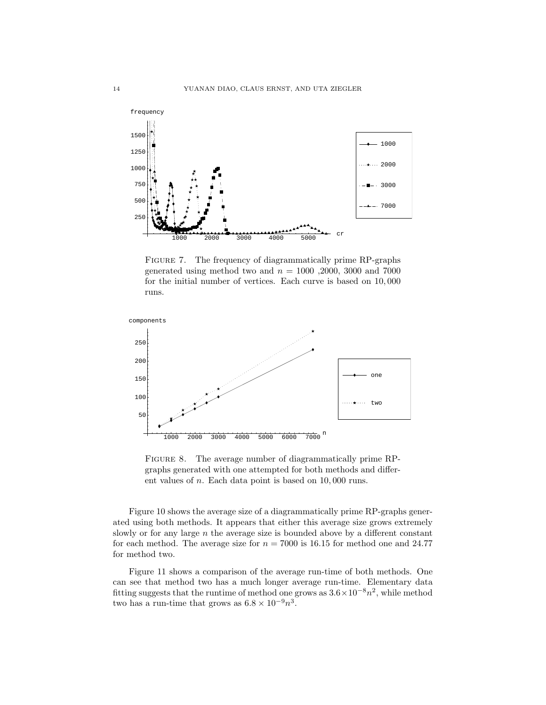

FIGURE 7. The frequency of diagrammatically prime RP-graphs generated using method two and  $n = 1000$ , 2000, 3000 and 7000 for the initial number of vertices. Each curve is based on 10, 000 runs.



FIGURE 8. The average number of diagrammatically prime RPgraphs generated with one attempted for both methods and different values of n. Each data point is based on 10, 000 runs.

Figure 10 shows the average size of a diagrammatically prime RP-graphs generated using both methods. It appears that either this average size grows extremely slowly or for any large  $n$  the average size is bounded above by a different constant for each method. The average size for  $n = 7000$  is 16.15 for method one and 24.77 for method two.

Figure 11 shows a comparison of the average run-time of both methods. One can see that method two has a much longer average run-time. Elementary data fitting suggests that the runtime of method one grows as  $3.6 \times 10^{-8} n^2$ , while method two has a run-time that grows as  $6.8 \times 10^{-9} n^3$ .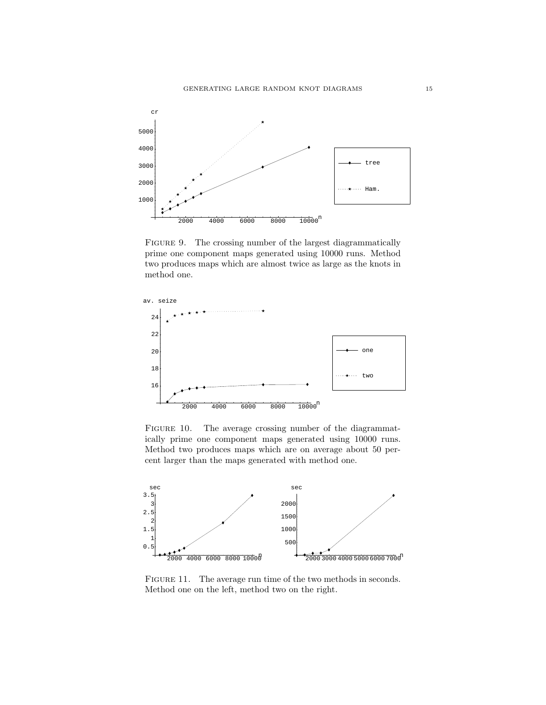

FIGURE 9. The crossing number of the largest diagrammatically prime one component maps generated using 10000 runs. Method two produces maps which are almost twice as large as the knots in method one.



FIGURE 10. The average crossing number of the diagrammatically prime one component maps generated using 10000 runs. Method two produces maps which are on average about 50 percent larger than the maps generated with method one.



FIGURE 11. The average run time of the two methods in seconds. Method one on the left, method two on the right.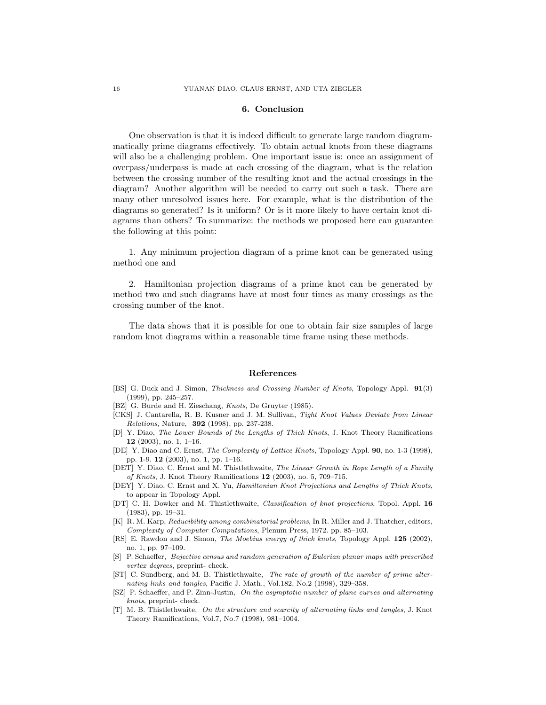### 6. Conclusion

One observation is that it is indeed difficult to generate large random diagrammatically prime diagrams effectively. To obtain actual knots from these diagrams will also be a challenging problem. One important issue is: once an assignment of overpass/underpass is made at each crossing of the diagram, what is the relation between the crossing number of the resulting knot and the actual crossings in the diagram? Another algorithm will be needed to carry out such a task. There are many other unresolved issues here. For example, what is the distribution of the diagrams so generated? Is it uniform? Or is it more likely to have certain knot diagrams than others? To summarize: the methods we proposed here can guarantee the following at this point:

1. Any minimum projection diagram of a prime knot can be generated using method one and

2. Hamiltonian projection diagrams of a prime knot can be generated by method two and such diagrams have at most four times as many crossings as the crossing number of the knot.

The data shows that it is possible for one to obtain fair size samples of large random knot diagrams within a reasonable time frame using these methods.

### References

- [BS] G. Buck and J. Simon, Thickness and Crossing Number of Knots, Topology Appl. 91(3) (1999), pp. 245–257.
- [BZ] G. Burde and H. Zieschang, Knots, De Gruyter (1985).
- [CKS] J. Cantarella, R. B. Kusner and J. M. Sullivan, Tight Knot Values Deviate from Linear Relations, Nature, 392 (1998), pp. 237-238.
- [D] Y. Diao, The Lower Bounds of the Lengths of Thick Knots, J. Knot Theory Ramifications 12 (2003), no. 1, 1–16.
- [DE] Y. Diao and C. Ernst, The Complexity of Lattice Knots, Topology Appl. 90, no. 1-3 (1998), pp. 1-9. 12 (2003), no. 1, pp. 1–16.
- [DET] Y. Diao, C. Ernst and M. Thistlethwaite, The Linear Growth in Rope Length of a Family of Knots, J. Knot Theory Ramifications 12 (2003), no. 5, 709–715.
- [DEY] Y. Diao, C. Ernst and X. Yu, Hamiltonian Knot Projections and Lengths of Thick Knots, to appear in Topology Appl.
- [DT] C. H. Dowker and M. Thistlethwaite, Classification of knot projections, Topol. Appl. 16 (1983), pp. 19–31.
- [K] R. M. Karp, Reducibility among combinatorial problems, In R. Miller and J. Thatcher, editors, Complexity of Computer Computations, Plenum Press, 1972. pp. 85–103.
- [RS] E. Rawdon and J. Simon, The Moebius energy of thick knots, Topology Appl. 125 (2002), no. 1, pp. 97–109.
- [S] P. Schaeffer, Bojective census and random generation of Eulerian planar maps with prescribed vertex degrees, preprint- check.
- [ST] C. Sundberg, and M. B. Thistlethwaite, The rate of growth of the number of prime alternating links and tangles, Pacific J. Math., Vol.182, No.2 (1998), 329–358.
- [SZ] P. Schaeffer, and P. Zinn-Justin, On the asymptotic number of plane curves and alternating knots, preprint- check.
- [T] M. B. Thistlethwaite, On the structure and scarcity of alternating links and tangles, J. Knot Theory Ramifications, Vol.7, No.7 (1998), 981–1004.